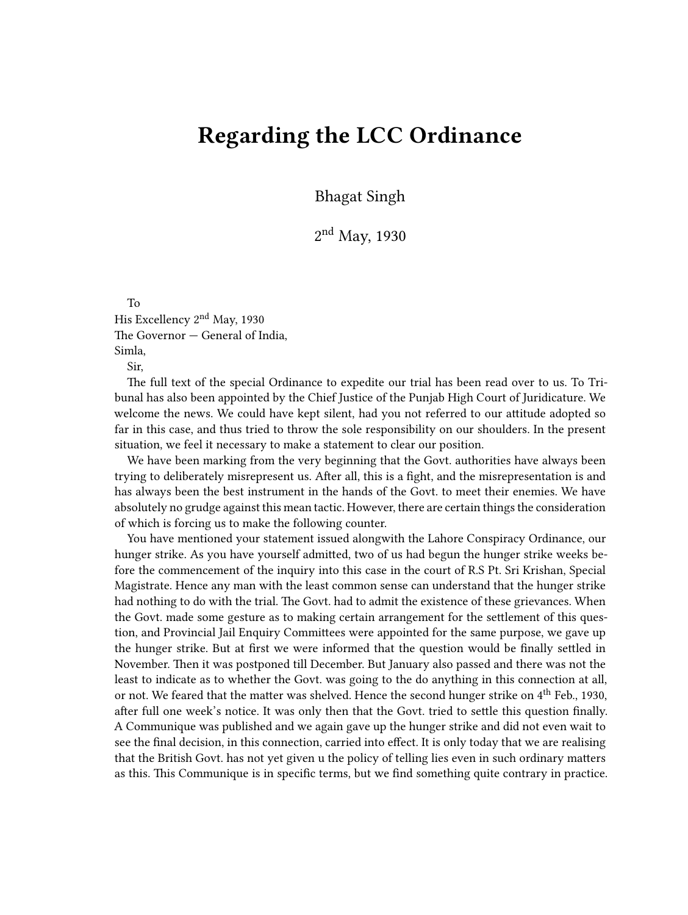## **Regarding the LCC Ordinance**

Bhagat Singh

2<sup>nd</sup> May, 1930

To

His Excellency 2nd May, 1930 The Governor — General of India, Simla,

Sir,

The full text of the special Ordinance to expedite our trial has been read over to us. To Tribunal has also been appointed by the Chief Justice of the Punjab High Court of Juridicature. We welcome the news. We could have kept silent, had you not referred to our attitude adopted so far in this case, and thus tried to throw the sole responsibility on our shoulders. In the present situation, we feel it necessary to make a statement to clear our position.

We have been marking from the very beginning that the Govt. authorities have always been trying to deliberately misrepresent us. After all, this is a fight, and the misrepresentation is and has always been the best instrument in the hands of the Govt. to meet their enemies. We have absolutely no grudge against this mean tactic. However, there are certain things the consideration of which is forcing us to make the following counter.

You have mentioned your statement issued alongwith the Lahore Conspiracy Ordinance, our hunger strike. As you have yourself admitted, two of us had begun the hunger strike weeks before the commencement of the inquiry into this case in the court of R.S Pt. Sri Krishan, Special Magistrate. Hence any man with the least common sense can understand that the hunger strike had nothing to do with the trial. The Govt. had to admit the existence of these grievances. When the Govt. made some gesture as to making certain arrangement for the settlement of this question, and Provincial Jail Enquiry Committees were appointed for the same purpose, we gave up the hunger strike. But at first we were informed that the question would be finally settled in November. Then it was postponed till December. But January also passed and there was not the least to indicate as to whether the Govt. was going to the do anything in this connection at all, or not. We feared that the matter was shelved. Hence the second hunger strike on  $4^{\text{th}}$  Feb., 1930, after full one week's notice. It was only then that the Govt. tried to settle this question finally. A Communique was published and we again gave up the hunger strike and did not even wait to see the final decision, in this connection, carried into effect. It is only today that we are realising that the British Govt. has not yet given u the policy of telling lies even in such ordinary matters as this. This Communique is in specific terms, but we find something quite contrary in practice.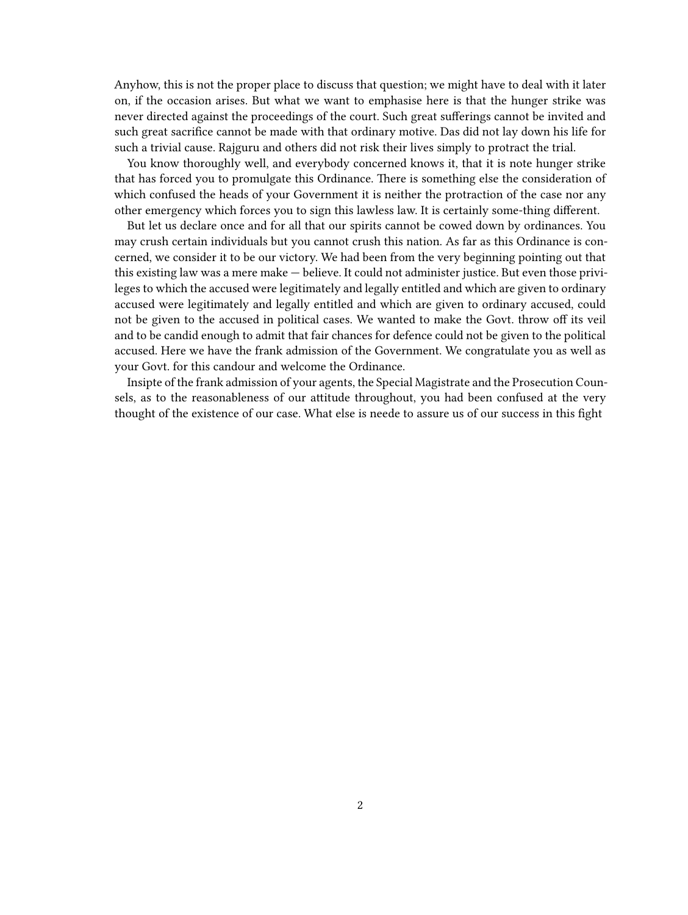Anyhow, this is not the proper place to discuss that question; we might have to deal with it later on, if the occasion arises. But what we want to emphasise here is that the hunger strike was never directed against the proceedings of the court. Such great sufferings cannot be invited and such great sacrifice cannot be made with that ordinary motive. Das did not lay down his life for such a trivial cause. Rajguru and others did not risk their lives simply to protract the trial.

You know thoroughly well, and everybody concerned knows it, that it is note hunger strike that has forced you to promulgate this Ordinance. There is something else the consideration of which confused the heads of your Government it is neither the protraction of the case nor any other emergency which forces you to sign this lawless law. It is certainly some-thing different.

But let us declare once and for all that our spirits cannot be cowed down by ordinances. You may crush certain individuals but you cannot crush this nation. As far as this Ordinance is concerned, we consider it to be our victory. We had been from the very beginning pointing out that this existing law was a mere make — believe. It could not administer justice. But even those privileges to which the accused were legitimately and legally entitled and which are given to ordinary accused were legitimately and legally entitled and which are given to ordinary accused, could not be given to the accused in political cases. We wanted to make the Govt. throw off its veil and to be candid enough to admit that fair chances for defence could not be given to the political accused. Here we have the frank admission of the Government. We congratulate you as well as your Govt. for this candour and welcome the Ordinance.

Insipte of the frank admission of your agents, the Special Magistrate and the Prosecution Counsels, as to the reasonableness of our attitude throughout, you had been confused at the very thought of the existence of our case. What else is neede to assure us of our success in this fight